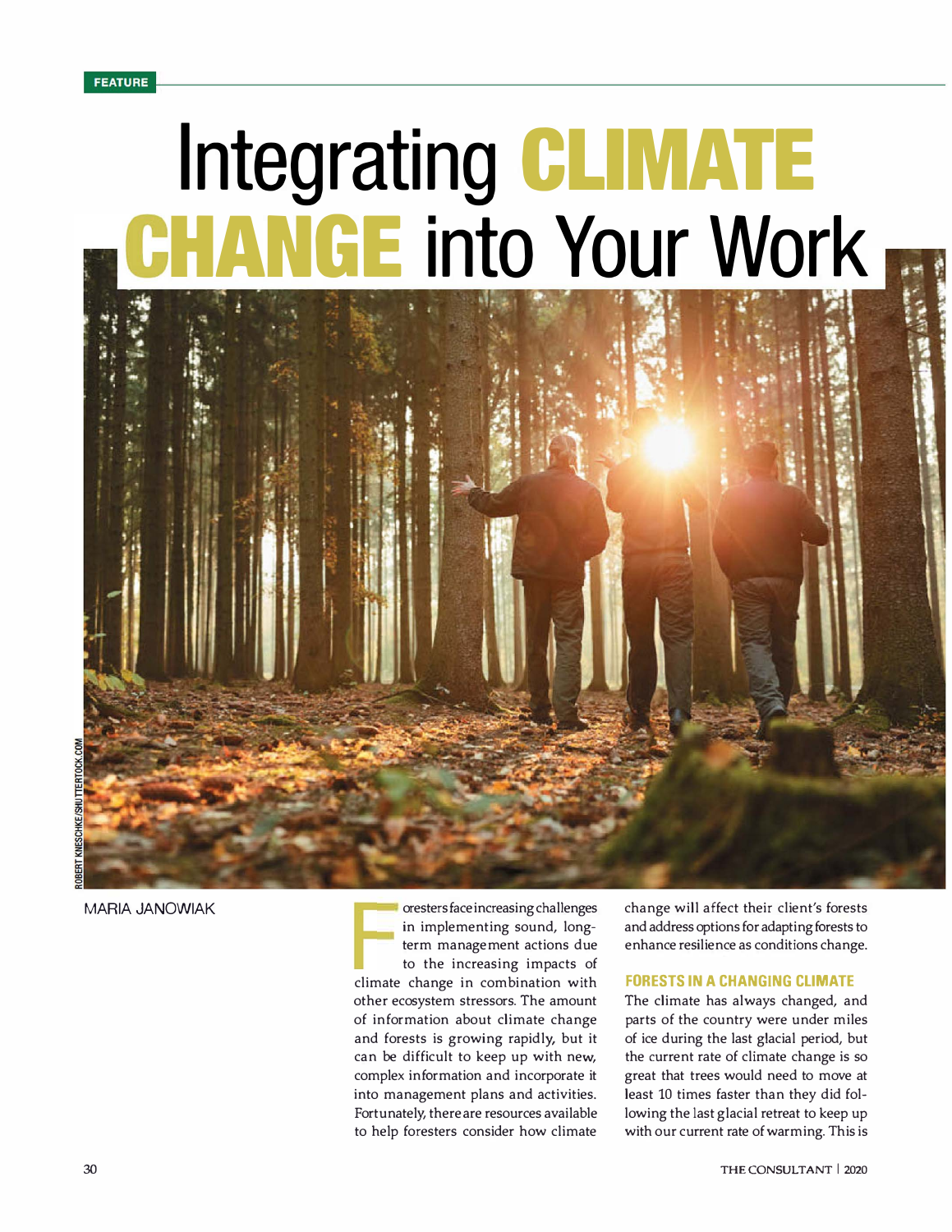# **Integrating CLIMATE GE** into Your Work



MARIA JANOWIAK **Contract in the increasing of the increasing challenges** in implementing sound, longterm management actions due to the increasing impacts of climate change in combination with other ecosystem stressors. The amount of information about climate change and forests is growing rapidly, but it can be difficult to keep up with new, complex information and incorporate it into management plans and activities. Fortunately, there are resources available to help foresters consider how climate

change will affect their client's forests and address options for adapting forests to enhance resilience as conditions change.

### **FORESTS IN A CHANGING CLIMATE**

The climate has always changed, and parts of the country were under miles of ice during the last glacial period, but the current rate of climate change is so great that trees would need to move at least 10 times faster than they did following the last glacial retreat to keep up with our current rate of warming. This is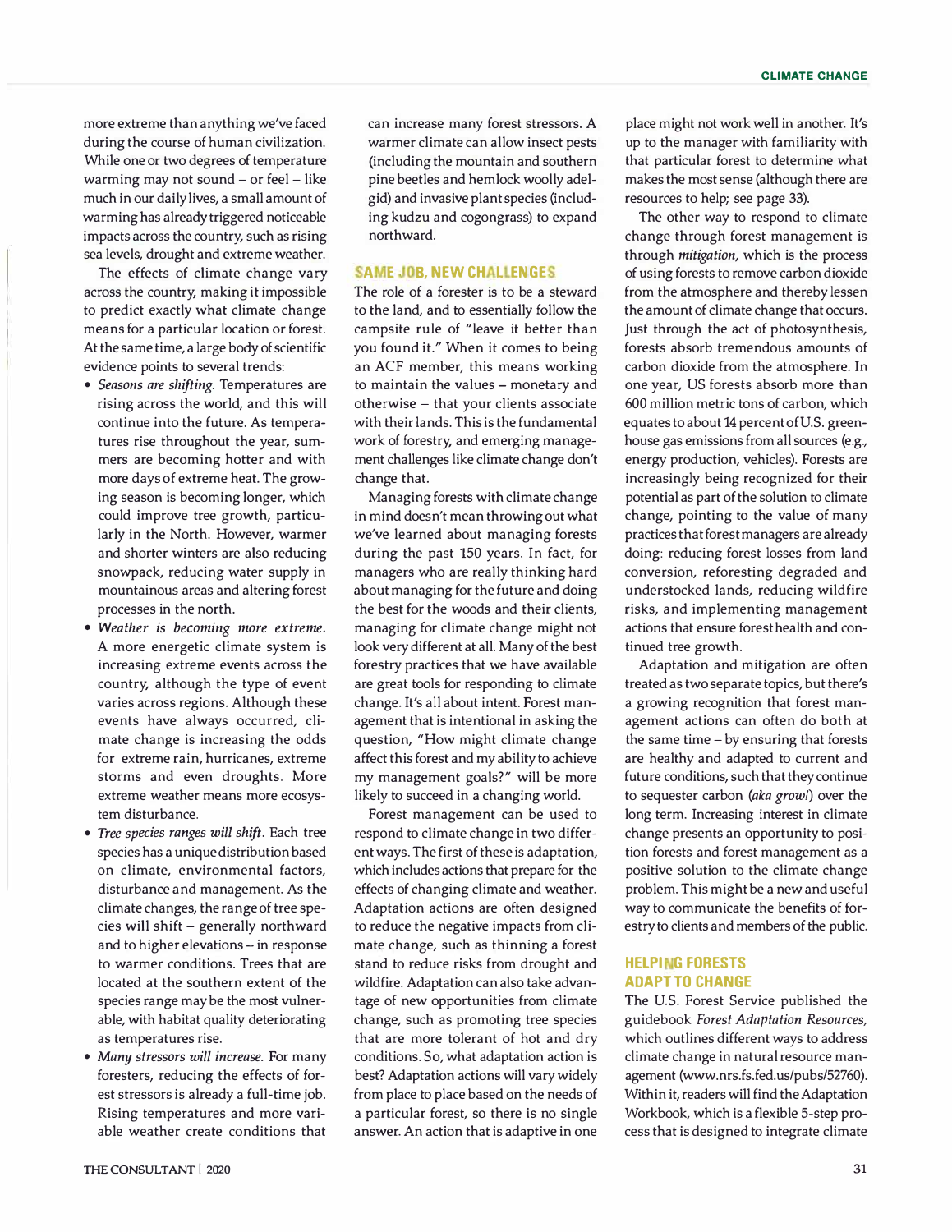more extreme than anything we've faced during the course of human civilization. While one or two degrees of temperature warming may not sound - or feel - like much in our daily lives, a small amount of warming has already triggered noticeable impacts across the country, such as rising sea levels, drought and extreme weather.

The effects of climate change vary across the country, making it impossible to predict exactly what climate change means for a particular location or forest. At the same time, a large body of scientific evidence points to several trends:

- *Seasons are shifting.* Temperatures are rising across the world, and this will continue into the future. As temperatures rise throughout the year, summers are becoming hotter and with more days of extreme heat. The growing season is becoming longer, which could improve tree growth, particularly in the North. However, warmer and shorter winters are also reducing snowpack, reducing water supply in mountainous areas and altering forest processes in the north.
- *Weather is becoming more extreme.* A more energetic climate system is increasing extreme events across the country, although the type of event varies across regions. Although these events have always occurred, climate change is increasing the odds for extreme rain, hurricanes, extreme storms and even droughts. More extreme weather means more ecosystem disturbance.
- *Tree species ranges will shift.* Each tree species has a unique distribution based on climate, environmental factors, disturbance and management. As the climate changes, the range of tree species will shift - generally northward and to higher elevations - in response to warmer conditions. Trees that are located at the southern extent of the species range may be the most vulnerable, with habitat quality deteriorating as temperatures rise.
- *Many stressors will increase.* For many foresters, reducing the effects of forest stressors is already a full-time job. Rising temperatures and more variable weather create conditions that

can increase many forest stressors. A warmer climate can allow insect pests (including the mountain and southern pine beetles and hemlock woolly adelgid) and invasive plant species (including kudzu and cogongrass) to expand northward.

# **SAME JOB, NEW CHALLENGES**

The role of a forester is to be a steward to the land, and to essentially follow the campsite rule of "leave it better than you found it." When it comes to being an ACF member, this means working to maintain the values - monetary and otherwise - that your clients associate with their lands. This is the fundamental work of forestry, and emerging management challenges like climate change don't change that.

Managing forests with climate change in mind doesn't mean throwing out what we've learned about managing forests during the past 150 years. In fact, for managers who are really thinking hard about managing for the future and doing the best for the woods and their clients, managing for climate change might not look very different at all. Many of the best forestry practices that we have available are great tools for responding to climate change. It's all about intent. Forest management that is intentional in asking the question, "How might climate change affect this forest and my ability to achieve my management goals?" will be more likely to succeed in a changing world.

Forest management can be used to respond to climate change in two different ways. The first of these is adaptation, which includes actions that prepare for the effects of changing climate and weather. Adaptation actions are often designed to reduce the negative impacts from climate change, such as thinning a forest stand to reduce risks from drought and wildfire. Adaptation can also take advantage of new opportunities from climate change, such as promoting tree species that are more tolerant of hot and dry conditions. So, what adaptation action is best? Adaptation actions will vary widely from place to place based on the needs of a particular forest, so there is no single answer. An action that is adaptive in one place might not work well in another. It's up to the manager with familiarity with that particular forest to determine what makes the most sense (although there are resources to help; see page 33).

The other way to respond to climate change through forest management is through *mitigation,* which is the process of using forests to remove carbon dioxide from the atmosphere and thereby lessen the amount of climate change that occurs. Just through the act of photosynthesis, forests absorb tremendous amounts of carbon dioxide from the atmosphere. In one year, US forests absorb more than 600 million metric tons of carbon, which equates to about 14 percent of U.S. greenhouse gas emissions from all sources (e.g., energy production, vehicles). Forests are increasingly being recognized for their potential as part of the solution to climate change, pointing to the value of many practices that forest managers are already doing: reducing forest losses from land conversion, reforesting degraded and understocked lands, reducing wildfire risks, and implementing management actions that ensure forest health and continued tree growth.

Adaptation and mitigation are often treated as two separate topics, but there's a growing recognition that forest management actions can often do both at the same time  $-$  by ensuring that forests are healthy and adapted to current and future conditions, such that they continue to sequester carbon *(aka growl)* over the long term. Increasing interest in climate change presents an opportunity to position forests and forest management as a positive solution to the climate change problem. This might be a new and useful way to communicate the benefits of forestry to clients and members of the public.

## **HELPING FORESTS ADAPT TO CHANGE**

The U.S. Forest Service published the guidebook *Forest Adaptation Resources,*  which outlines different ways to address climate change in natural resource management (www.nrs.fs.fed.us/pubs/52760). Within it, readers will find the Adaptation Workbook, which is a flexible 5-step process that is designed to integrate climate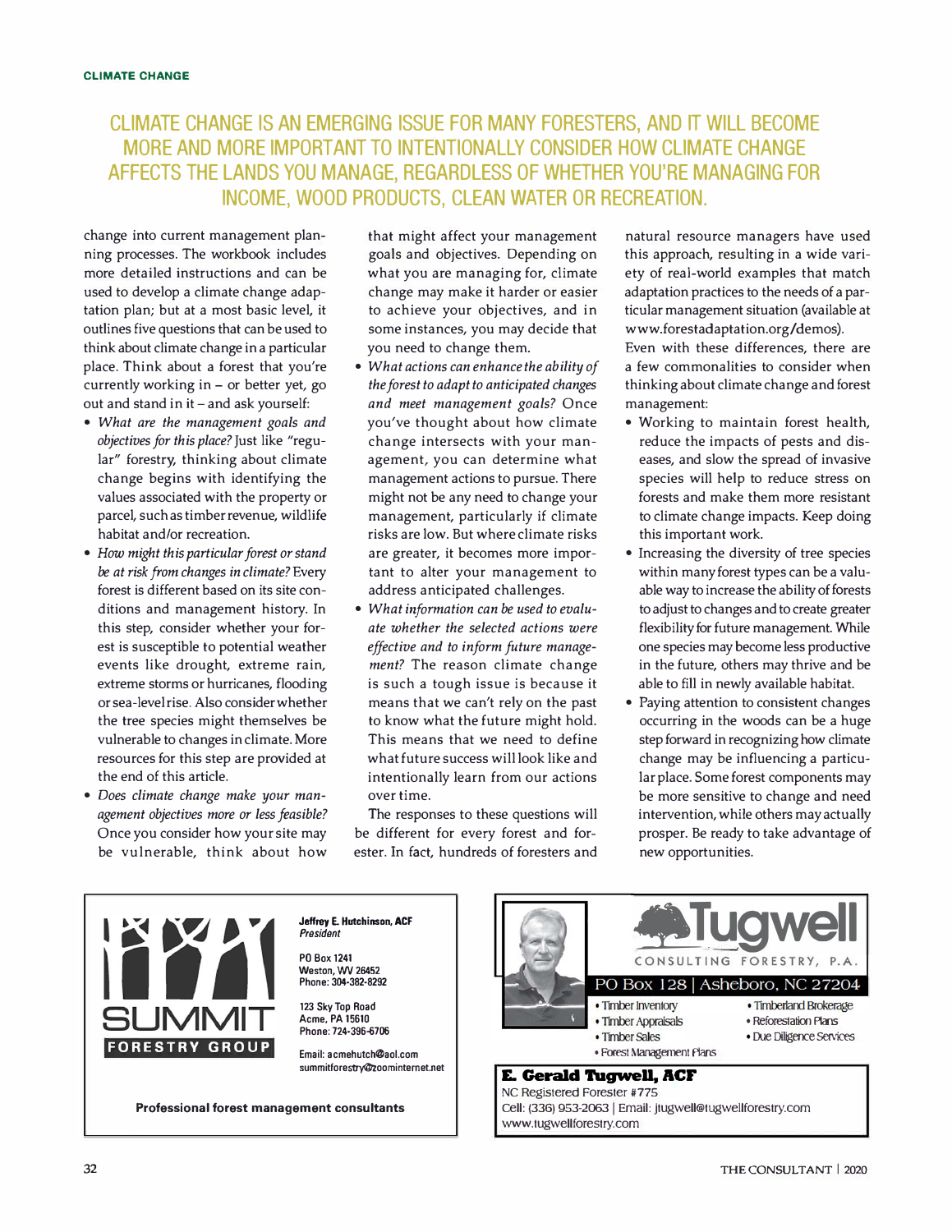# **CLIMATE CHANGE IS AN EMERGING ISSUE FOR MANY FORESTERS, AND IT WILL BECOME MORE AND MORE IMPORTANT TO INTENTIONALLY CONSIDER HOW CLIMATE CHANGE AFFECTS THE LANDS YOU MANAGE, REGARDLESS OF WHETHER YOU'RE MANAGING FOR INCOME. WOOD PRODUCTS. CLEAN WATER OR RECREATION.**

change into current management planning processes. The workbook includes more detailed instructions and can be used to develop a climate change adaptation plan; but at a most basic level, it outlines five questions that can be used to think about climate change in a particular place. Think about a forest that you're currently working in  $-$  or better yet, go out and stand in it - and ask yourself:

- *What are the management goals and objectives for this place?* Just like "regular" forestry, thinking about climate change begins with identifying the values associated with the property or parcel, such as timber revenue, wildlife habitat and/or recreation.
- *How might this particular forest or stand be at risk from changes in climate?* Every forest is different based on its site conditions and management history. In this step, consider whether your forest is susceptible to potential weather events like drought, extreme rain, extreme storms or hurricanes, flooding or sea-level rise. Also consider whether the tree species might themselves be vulnerable to changes in climate. More resources for this step are provided at the end of this article.
- *Does climate change make your management objectives more or less feasible?* Once you consider how your site may be vulnerable, think about how

that might affect your management goals and objectives. Depending on what you are managing for, climate change may make it harder or easier to achieve your objectives, and in some instances, you may decide that you need to change them.

- *What actions can enhance the ability of the forest to adapt to anticipated changes and meet management goals?* Once you've thought about how climate change intersects with your management, you can determine what management actions to pursue. There might not be any need to change your management, particularly if climate risks are low. But where climate risks are greater, it becomes more important to alter your management to address anticipated challenges.
- *What information can be used to evaluate whether the selected actions were effective and to inform future management?* The reason climate change is such a tough issue is because it means that we can't rely on the past to know what the future might hold. This means that we need to define what future success will look like and intentionally learn from our actions over time.

The responses to these questions will be different for every forest and forester. In fact, hundreds of foresters and natural resource managers have used this approach, resulting in a wide variety of real-world examples that match adaptation practices to the needs of a particular management situation (available at www.forestadaptation.org/demos). Even with these differences, there are a few commonalities to consider when thinking about climate change and forest management:

- Working to maintain forest health, reduce the impacts of pests and diseases, and slow the spread of invasive species will help to reduce stress on forests and make them more resistant to climate change impacts. Keep doing this important work.
- Increasing the diversity of tree species within many forest types can be a valuable way to increase the ability of forests to adjust to changes and to create greater flexibility for future management. While one species may become less productive in the future, others may thrive and be able to fill in newly available habitat.
- Paying attention to consistent changes occurring in the woods can be a huge step forward in recognizing how climate change may be influencing a particular place. Some forest components may be more sensitive to change and need intervention, while others may actually prosper. Be ready to take advantage of new opportunities.